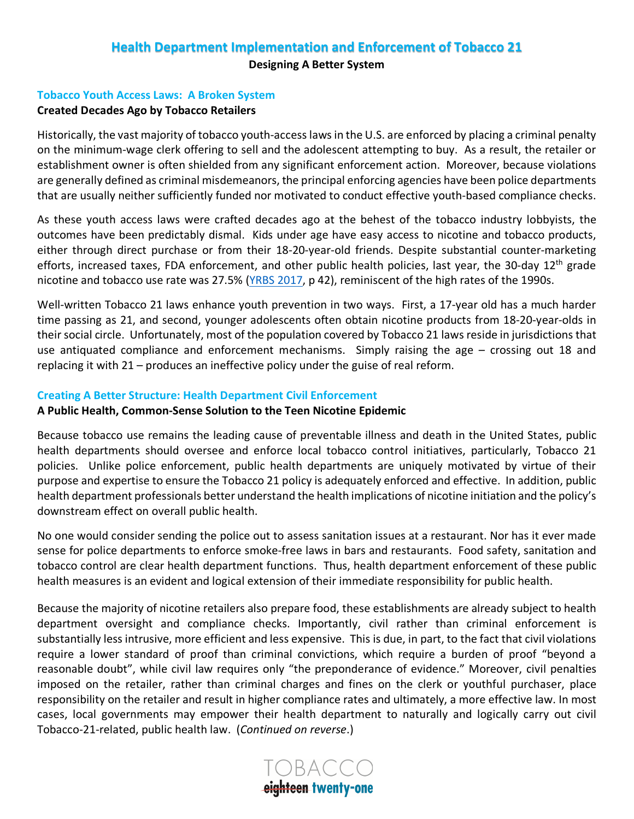## **Health Department Implementation and Enforcement of Tobacco 21**

**Designing A Better System**

### **Tobacco Youth Access Laws: A Broken System**

#### **Created Decades Ago by Tobacco Retailers**

Historically, the vast majority of tobacco youth-access laws in the U.S. are enforced by placing a criminal penalty on the minimum-wage clerk offering to sell and the adolescent attempting to buy. As a result, the retailer or establishment owner is often shielded from any significant enforcement action. Moreover, because violations are generally defined as criminal misdemeanors, the principal enforcing agencies have been police departments that are usually neither sufficiently funded nor motivated to conduct effective youth-based compliance checks.

As these youth access laws were crafted decades ago at the behest of the tobacco industry lobbyists, the outcomes have been predictably dismal. Kids under age have easy access to nicotine and tobacco products, either through direct purchase or from their 18-20-year-old friends. Despite substantial counter-marketing efforts, increased taxes, FDA enforcement, and other public health policies, last year, the 30-day 12<sup>th</sup> grade nicotine and tobacco use rate was 27.5% (YRBS 2017, p 42), reminiscent of the high rates of the 1990s.

Well-written Tobacco 21 laws enhance youth prevention in two ways. First, a 17-year old has a much harder time passing as 21, and second, younger adolescents often obtain nicotine products from 18-20-year-olds in their social circle. Unfortunately, most of the population covered by Tobacco 21 laws reside in jurisdictions that use antiquated compliance and enforcement mechanisms. Simply raising the age – crossing out 18 and replacing it with 21 – produces an ineffective policy under the guise of real reform.

## **Creating A Better Structure: Health Department Civil Enforcement**

## **A Public Health, Common-Sense Solution to the Teen Nicotine Epidemic**

Because tobacco use remains the leading cause of preventable illness and death in the United States, public health departments should oversee and enforce local tobacco control initiatives, particularly, Tobacco 21 policies. Unlike police enforcement, public health departments are uniquely motivated by virtue of their purpose and expertise to ensure the Tobacco 21 policy is adequately enforced and effective. In addition, public health department professionals better understand the health implications of nicotine initiation and the policy's downstream effect on overall public health.

No one would consider sending the police out to assess sanitation issues at a restaurant. Nor has it ever made sense for police departments to enforce smoke-free laws in bars and restaurants. Food safety, sanitation and tobacco control are clear health department functions. Thus, health department enforcement of these public health measures is an evident and logical extension of their immediate responsibility for public health.

Because the majority of nicotine retailers also prepare food, these establishments are already subject to health department oversight and compliance checks. Importantly, civil rather than criminal enforcement is substantially less intrusive, more efficient and less expensive. This is due, in part, to the fact that civil violations require a lower standard of proof than criminal convictions, which require a burden of proof "beyond a reasonable doubt", while civil law requires only "the preponderance of evidence." Moreover, civil penalties imposed on the retailer, rather than criminal charges and fines on the clerk or youthful purchaser, place responsibility on the retailer and result in higher compliance rates and ultimately, a more effective law. In most cases, local governments may empower their health department to naturally and logically carry out civil Tobacco-21-related, public health law. (*Continued on reverse*.)